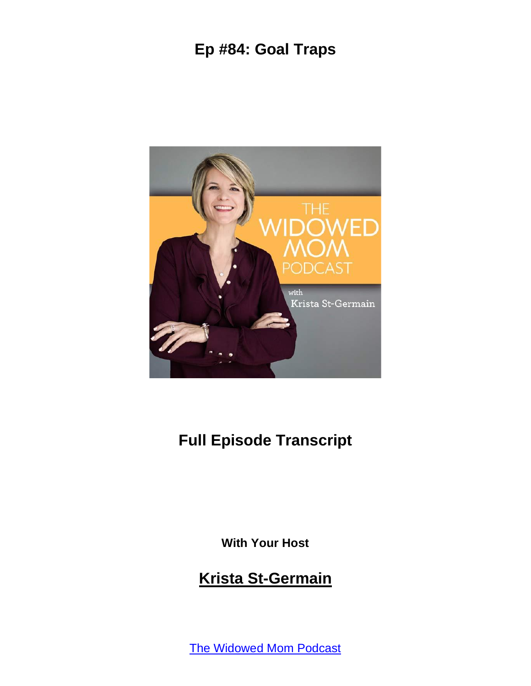

### **Full Episode Transcript**

**With Your Host**

#### **Krista St-Germain**

The [Widowed](https://coachingwithkrista.com/podcast) Mom Podcast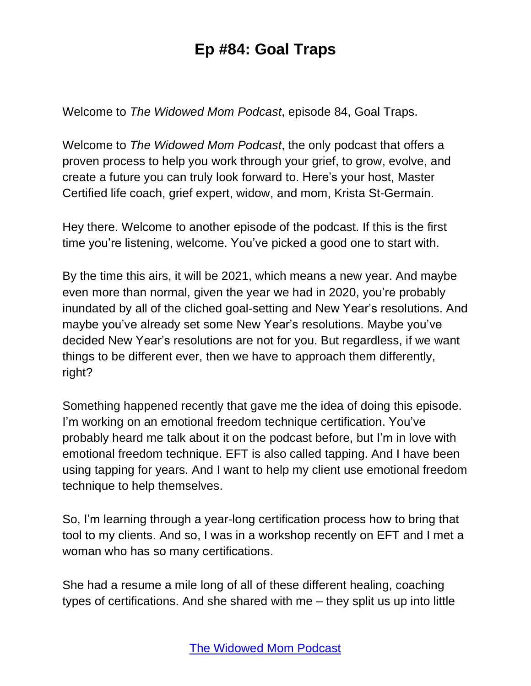Welcome to *The Widowed Mom Podcast*, episode 84, Goal Traps.

Welcome to *The Widowed Mom Podcast*, the only podcast that offers a proven process to help you work through your grief, to grow, evolve, and create a future you can truly look forward to. Here's your host, Master Certified life coach, grief expert, widow, and mom, Krista St-Germain.

Hey there. Welcome to another episode of the podcast. If this is the first time you're listening, welcome. You've picked a good one to start with.

By the time this airs, it will be 2021, which means a new year. And maybe even more than normal, given the year we had in 2020, you're probably inundated by all of the cliched goal-setting and New Year's resolutions. And maybe you've already set some New Year's resolutions. Maybe you've decided New Year's resolutions are not for you. But regardless, if we want things to be different ever, then we have to approach them differently, right?

Something happened recently that gave me the idea of doing this episode. I'm working on an emotional freedom technique certification. You've probably heard me talk about it on the podcast before, but I'm in love with emotional freedom technique. EFT is also called tapping. And I have been using tapping for years. And I want to help my client use emotional freedom technique to help themselves.

So, I'm learning through a year-long certification process how to bring that tool to my clients. And so, I was in a workshop recently on EFT and I met a woman who has so many certifications.

She had a resume a mile long of all of these different healing, coaching types of certifications. And she shared with me – they split us up into little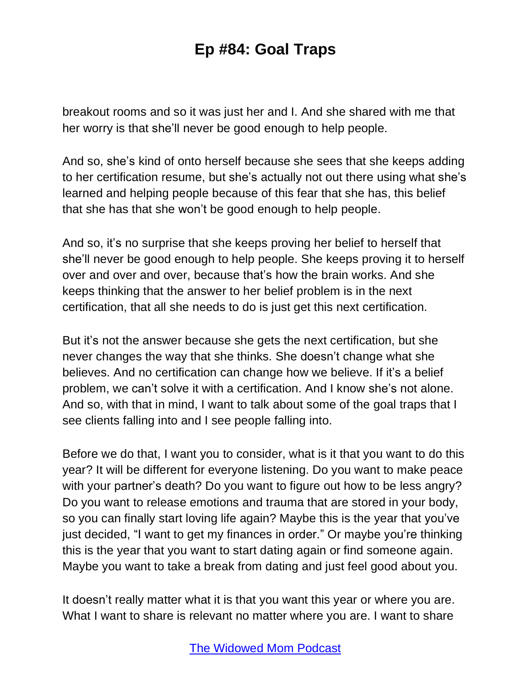breakout rooms and so it was just her and I. And she shared with me that her worry is that she'll never be good enough to help people.

And so, she's kind of onto herself because she sees that she keeps adding to her certification resume, but she's actually not out there using what she's learned and helping people because of this fear that she has, this belief that she has that she won't be good enough to help people.

And so, it's no surprise that she keeps proving her belief to herself that she'll never be good enough to help people. She keeps proving it to herself over and over and over, because that's how the brain works. And she keeps thinking that the answer to her belief problem is in the next certification, that all she needs to do is just get this next certification.

But it's not the answer because she gets the next certification, but she never changes the way that she thinks. She doesn't change what she believes. And no certification can change how we believe. If it's a belief problem, we can't solve it with a certification. And I know she's not alone. And so, with that in mind, I want to talk about some of the goal traps that I see clients falling into and I see people falling into.

Before we do that, I want you to consider, what is it that you want to do this year? It will be different for everyone listening. Do you want to make peace with your partner's death? Do you want to figure out how to be less angry? Do you want to release emotions and trauma that are stored in your body, so you can finally start loving life again? Maybe this is the year that you've just decided, "I want to get my finances in order." Or maybe you're thinking this is the year that you want to start dating again or find someone again. Maybe you want to take a break from dating and just feel good about you.

It doesn't really matter what it is that you want this year or where you are. What I want to share is relevant no matter where you are. I want to share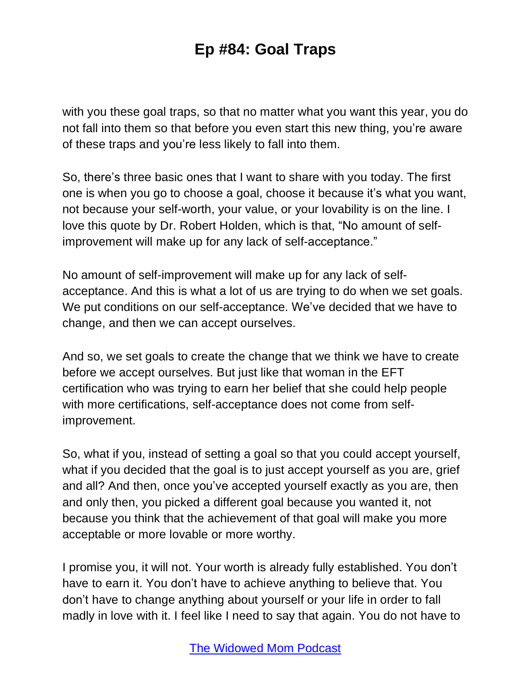with you these goal traps, so that no matter what you want this year, you do not fall into them so that before you even start this new thing, you're aware of these traps and you're less likely to fall into them.

So, there's three basic ones that I want to share with you today. The first one is when you go to choose a goal, choose it because it's what you want, not because your self-worth, your value, or your lovability is on the line. I love this quote by Dr. Robert Holden, which is that, "No amount of selfimprovement will make up for any lack of self-acceptance."

No amount of self-improvement will make up for any lack of selfacceptance. And this is what a lot of us are trying to do when we set goals. We put conditions on our self-acceptance. We've decided that we have to change, and then we can accept ourselves.

And so, we set goals to create the change that we think we have to create before we accept ourselves. But just like that woman in the EFT certification who was trying to earn her belief that she could help people with more certifications, self-acceptance does not come from selfimprovement.

So, what if you, instead of setting a goal so that you could accept yourself, what if you decided that the goal is to just accept yourself as you are, grief and all? And then, once you've accepted yourself exactly as you are, then and only then, you picked a different goal because you wanted it, not because you think that the achievement of that goal will make you more acceptable or more lovable or more worthy.

I promise you, it will not. Your worth is already fully established. You don't have to earn it. You don't have to achieve anything to believe that. You don't have to change anything about yourself or your life in order to fall madly in love with it. I feel like I need to say that again. You do not have to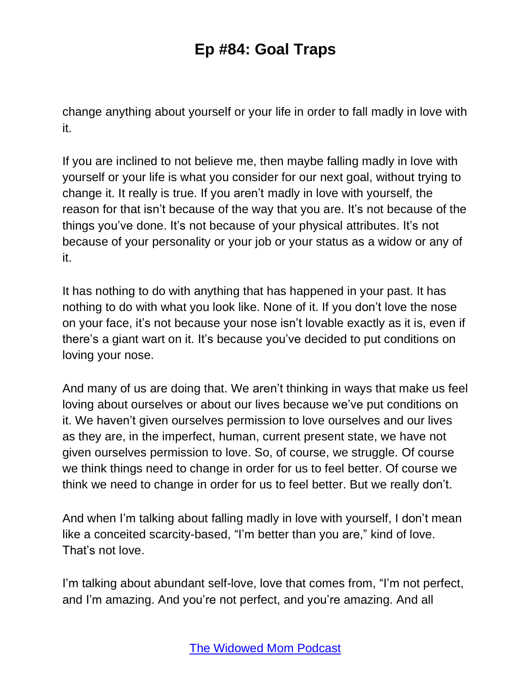change anything about yourself or your life in order to fall madly in love with it.

If you are inclined to not believe me, then maybe falling madly in love with yourself or your life is what you consider for our next goal, without trying to change it. It really is true. If you aren't madly in love with yourself, the reason for that isn't because of the way that you are. It's not because of the things you've done. It's not because of your physical attributes. It's not because of your personality or your job or your status as a widow or any of it.

It has nothing to do with anything that has happened in your past. It has nothing to do with what you look like. None of it. If you don't love the nose on your face, it's not because your nose isn't lovable exactly as it is, even if there's a giant wart on it. It's because you've decided to put conditions on loving your nose.

And many of us are doing that. We aren't thinking in ways that make us feel loving about ourselves or about our lives because we've put conditions on it. We haven't given ourselves permission to love ourselves and our lives as they are, in the imperfect, human, current present state, we have not given ourselves permission to love. So, of course, we struggle. Of course we think things need to change in order for us to feel better. Of course we think we need to change in order for us to feel better. But we really don't.

And when I'm talking about falling madly in love with yourself, I don't mean like a conceited scarcity-based, "I'm better than you are," kind of love. That's not love.

I'm talking about abundant self-love, love that comes from, "I'm not perfect, and I'm amazing. And you're not perfect, and you're amazing. And all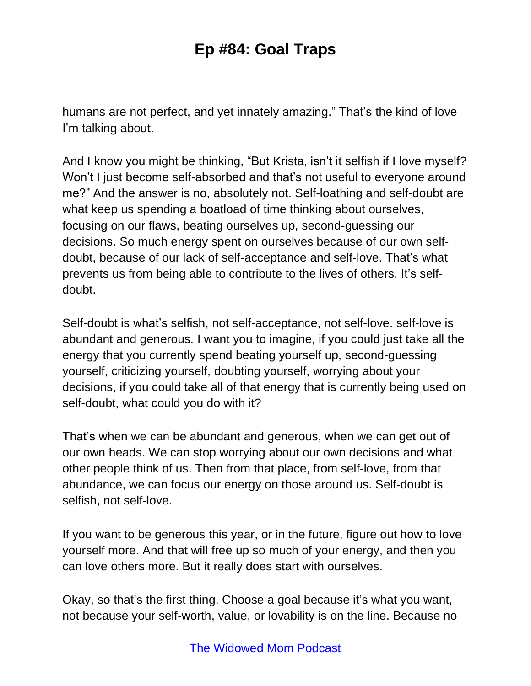humans are not perfect, and yet innately amazing." That's the kind of love I'm talking about.

And I know you might be thinking, "But Krista, isn't it selfish if I love myself? Won't I just become self-absorbed and that's not useful to everyone around me?" And the answer is no, absolutely not. Self-loathing and self-doubt are what keep us spending a boatload of time thinking about ourselves, focusing on our flaws, beating ourselves up, second-guessing our decisions. So much energy spent on ourselves because of our own selfdoubt, because of our lack of self-acceptance and self-love. That's what prevents us from being able to contribute to the lives of others. It's selfdoubt.

Self-doubt is what's selfish, not self-acceptance, not self-love. self-love is abundant and generous. I want you to imagine, if you could just take all the energy that you currently spend beating yourself up, second-guessing yourself, criticizing yourself, doubting yourself, worrying about your decisions, if you could take all of that energy that is currently being used on self-doubt, what could you do with it?

That's when we can be abundant and generous, when we can get out of our own heads. We can stop worrying about our own decisions and what other people think of us. Then from that place, from self-love, from that abundance, we can focus our energy on those around us. Self-doubt is selfish, not self-love.

If you want to be generous this year, or in the future, figure out how to love yourself more. And that will free up so much of your energy, and then you can love others more. But it really does start with ourselves.

Okay, so that's the first thing. Choose a goal because it's what you want, not because your self-worth, value, or lovability is on the line. Because no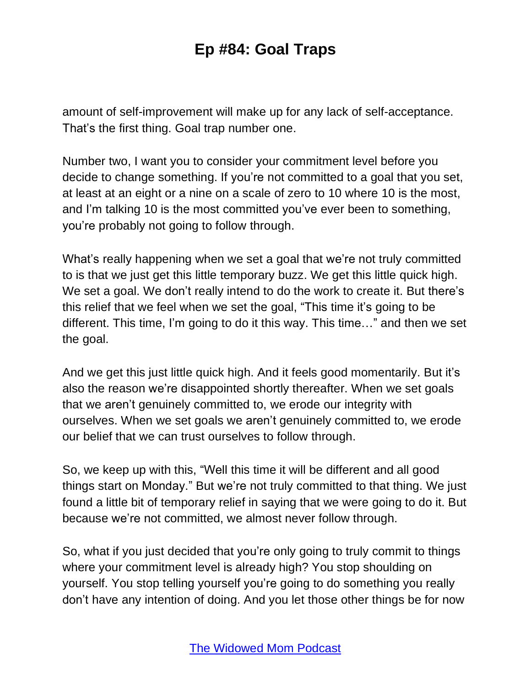amount of self-improvement will make up for any lack of self-acceptance. That's the first thing. Goal trap number one.

Number two, I want you to consider your commitment level before you decide to change something. If you're not committed to a goal that you set, at least at an eight or a nine on a scale of zero to 10 where 10 is the most, and I'm talking 10 is the most committed you've ever been to something, you're probably not going to follow through.

What's really happening when we set a goal that we're not truly committed to is that we just get this little temporary buzz. We get this little quick high. We set a goal. We don't really intend to do the work to create it. But there's this relief that we feel when we set the goal, "This time it's going to be different. This time, I'm going to do it this way. This time…" and then we set the goal.

And we get this just little quick high. And it feels good momentarily. But it's also the reason we're disappointed shortly thereafter. When we set goals that we aren't genuinely committed to, we erode our integrity with ourselves. When we set goals we aren't genuinely committed to, we erode our belief that we can trust ourselves to follow through.

So, we keep up with this, "Well this time it will be different and all good things start on Monday." But we're not truly committed to that thing. We just found a little bit of temporary relief in saying that we were going to do it. But because we're not committed, we almost never follow through.

So, what if you just decided that you're only going to truly commit to things where your commitment level is already high? You stop shoulding on yourself. You stop telling yourself you're going to do something you really don't have any intention of doing. And you let those other things be for now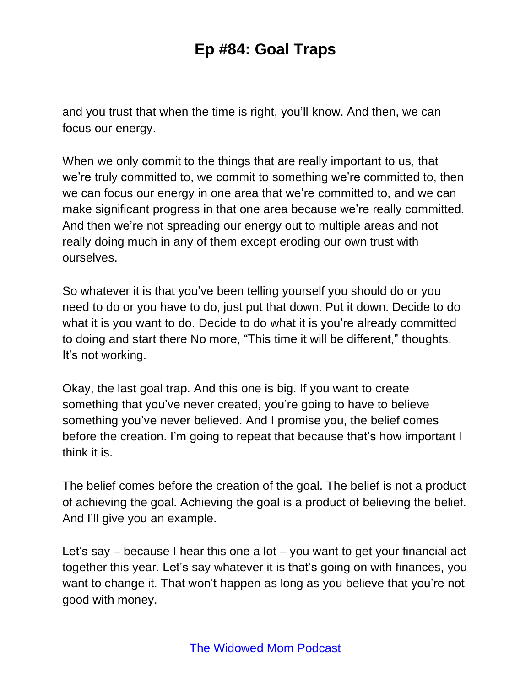and you trust that when the time is right, you'll know. And then, we can focus our energy.

When we only commit to the things that are really important to us, that we're truly committed to, we commit to something we're committed to, then we can focus our energy in one area that we're committed to, and we can make significant progress in that one area because we're really committed. And then we're not spreading our energy out to multiple areas and not really doing much in any of them except eroding our own trust with ourselves.

So whatever it is that you've been telling yourself you should do or you need to do or you have to do, just put that down. Put it down. Decide to do what it is you want to do. Decide to do what it is you're already committed to doing and start there No more, "This time it will be different," thoughts. It's not working.

Okay, the last goal trap. And this one is big. If you want to create something that you've never created, you're going to have to believe something you've never believed. And I promise you, the belief comes before the creation. I'm going to repeat that because that's how important I think it is.

The belief comes before the creation of the goal. The belief is not a product of achieving the goal. Achieving the goal is a product of believing the belief. And I'll give you an example.

Let's say – because I hear this one a lot – you want to get your financial act together this year. Let's say whatever it is that's going on with finances, you want to change it. That won't happen as long as you believe that you're not good with money.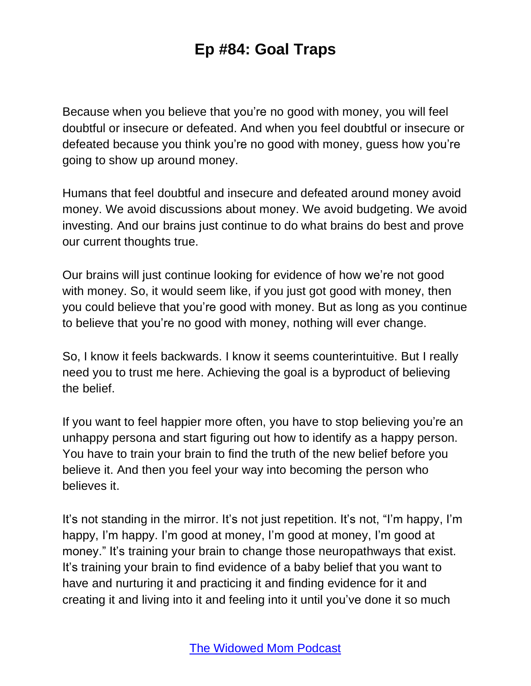Because when you believe that you're no good with money, you will feel doubtful or insecure or defeated. And when you feel doubtful or insecure or defeated because you think you're no good with money, guess how you're going to show up around money.

Humans that feel doubtful and insecure and defeated around money avoid money. We avoid discussions about money. We avoid budgeting. We avoid investing. And our brains just continue to do what brains do best and prove our current thoughts true.

Our brains will just continue looking for evidence of how we're not good with money. So, it would seem like, if you just got good with money, then you could believe that you're good with money. But as long as you continue to believe that you're no good with money, nothing will ever change.

So, I know it feels backwards. I know it seems counterintuitive. But I really need you to trust me here. Achieving the goal is a byproduct of believing the belief.

If you want to feel happier more often, you have to stop believing you're an unhappy persona and start figuring out how to identify as a happy person. You have to train your brain to find the truth of the new belief before you believe it. And then you feel your way into becoming the person who believes it.

It's not standing in the mirror. It's not just repetition. It's not, "I'm happy, I'm happy, I'm happy. I'm good at money, I'm good at money, I'm good at money." It's training your brain to change those neuropathways that exist. It's training your brain to find evidence of a baby belief that you want to have and nurturing it and practicing it and finding evidence for it and creating it and living into it and feeling into it until you've done it so much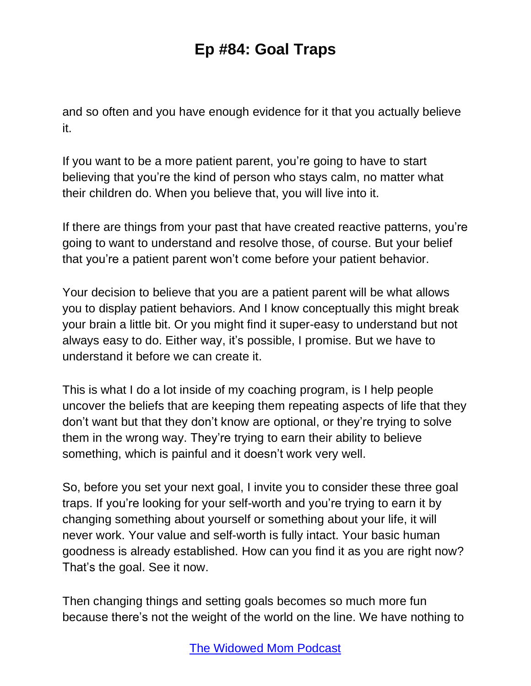and so often and you have enough evidence for it that you actually believe it.

If you want to be a more patient parent, you're going to have to start believing that you're the kind of person who stays calm, no matter what their children do. When you believe that, you will live into it.

If there are things from your past that have created reactive patterns, you're going to want to understand and resolve those, of course. But your belief that you're a patient parent won't come before your patient behavior.

Your decision to believe that you are a patient parent will be what allows you to display patient behaviors. And I know conceptually this might break your brain a little bit. Or you might find it super-easy to understand but not always easy to do. Either way, it's possible, I promise. But we have to understand it before we can create it.

This is what I do a lot inside of my coaching program, is I help people uncover the beliefs that are keeping them repeating aspects of life that they don't want but that they don't know are optional, or they're trying to solve them in the wrong way. They're trying to earn their ability to believe something, which is painful and it doesn't work very well.

So, before you set your next goal, I invite you to consider these three goal traps. If you're looking for your self-worth and you're trying to earn it by changing something about yourself or something about your life, it will never work. Your value and self-worth is fully intact. Your basic human goodness is already established. How can you find it as you are right now? That's the goal. See it now.

Then changing things and setting goals becomes so much more fun because there's not the weight of the world on the line. We have nothing to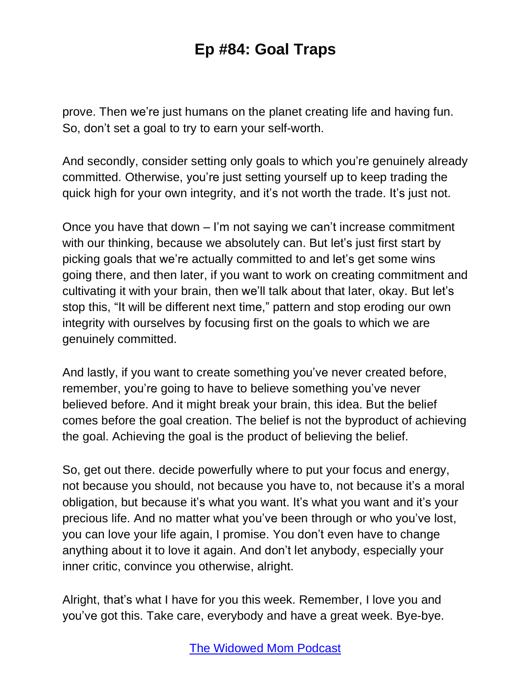prove. Then we're just humans on the planet creating life and having fun. So, don't set a goal to try to earn your self-worth.

And secondly, consider setting only goals to which you're genuinely already committed. Otherwise, you're just setting yourself up to keep trading the quick high for your own integrity, and it's not worth the trade. It's just not.

Once you have that down – I'm not saying we can't increase commitment with our thinking, because we absolutely can. But let's just first start by picking goals that we're actually committed to and let's get some wins going there, and then later, if you want to work on creating commitment and cultivating it with your brain, then we'll talk about that later, okay. But let's stop this, "It will be different next time," pattern and stop eroding our own integrity with ourselves by focusing first on the goals to which we are genuinely committed.

And lastly, if you want to create something you've never created before, remember, you're going to have to believe something you've never believed before. And it might break your brain, this idea. But the belief comes before the goal creation. The belief is not the byproduct of achieving the goal. Achieving the goal is the product of believing the belief.

So, get out there. decide powerfully where to put your focus and energy, not because you should, not because you have to, not because it's a moral obligation, but because it's what you want. It's what you want and it's your precious life. And no matter what you've been through or who you've lost, you can love your life again, I promise. You don't even have to change anything about it to love it again. And don't let anybody, especially your inner critic, convince you otherwise, alright.

Alright, that's what I have for you this week. Remember, I love you and you've got this. Take care, everybody and have a great week. Bye-bye.